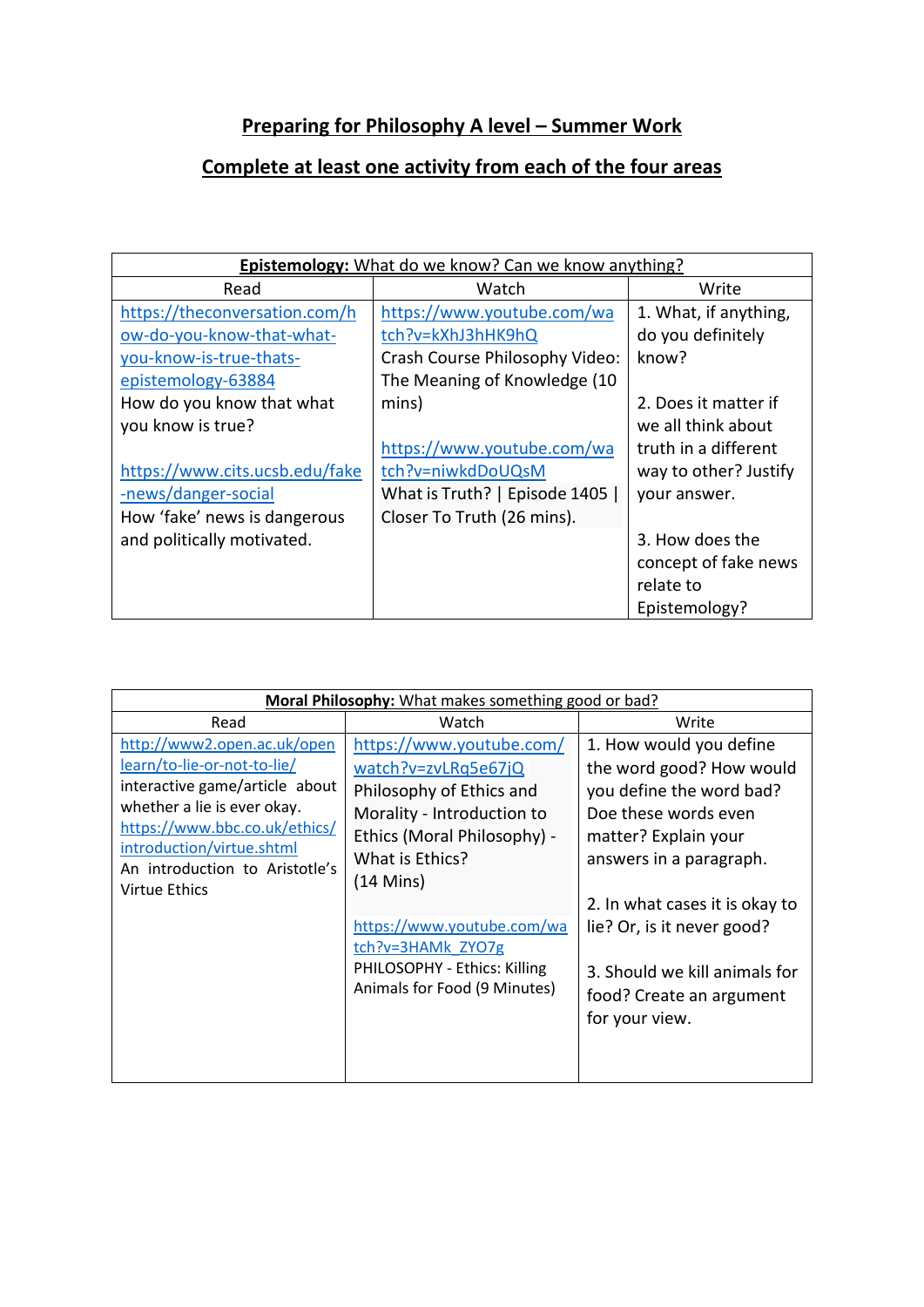## **Preparing for Philosophy A level – Summer Work**

## **Complete at least one activity from each of the four areas**

| <b>Epistemology:</b> What do we know? Can we know anything? |                                |                       |  |  |
|-------------------------------------------------------------|--------------------------------|-----------------------|--|--|
| Read                                                        | Watch                          | Write                 |  |  |
| https://theconversation.com/h                               | https://www.youtube.com/wa     | 1. What, if anything, |  |  |
| ow-do-you-know-that-what-                                   | tch?v=kXhJ3hHK9hQ              | do you definitely     |  |  |
| you-know-is-true-thats-                                     | Crash Course Philosophy Video: | know?                 |  |  |
| epistemology-63884                                          | The Meaning of Knowledge (10   |                       |  |  |
| How do you know that what                                   | mins)                          | 2. Does it matter if  |  |  |
| you know is true?                                           |                                | we all think about    |  |  |
|                                                             | https://www.youtube.com/wa     | truth in a different  |  |  |
| https://www.cits.ucsb.edu/fake                              | tch?v=niwkdDoUQsM              | way to other? Justify |  |  |
| -news/danger-social                                         | What is Truth?   Episode 1405  | your answer.          |  |  |
| How 'fake' news is dangerous                                | Closer To Truth (26 mins).     |                       |  |  |
| and politically motivated.                                  |                                | 3. How does the       |  |  |
|                                                             |                                | concept of fake news  |  |  |
|                                                             |                                | relate to             |  |  |
|                                                             |                                | Epistemology?         |  |  |

| Moral Philosophy: What makes something good or bad?                                                                                                                                                                                          |                                                                                                                                                                                                                                                                                                       |                                                                                                                                                                                                                                                                                                           |  |  |
|----------------------------------------------------------------------------------------------------------------------------------------------------------------------------------------------------------------------------------------------|-------------------------------------------------------------------------------------------------------------------------------------------------------------------------------------------------------------------------------------------------------------------------------------------------------|-----------------------------------------------------------------------------------------------------------------------------------------------------------------------------------------------------------------------------------------------------------------------------------------------------------|--|--|
| Read                                                                                                                                                                                                                                         | Watch                                                                                                                                                                                                                                                                                                 | Write                                                                                                                                                                                                                                                                                                     |  |  |
| http://www2.open.ac.uk/open<br>learn/to-lie-or-not-to-lie/<br>interactive game/article about<br>whether a lie is ever okay.<br>https://www.bbc.co.uk/ethics/<br>introduction/virtue.shtml<br>An introduction to Aristotle's<br>Virtue Ethics | https://www.youtube.com/<br>watch?v=zvLRq5e67jQ<br>Philosophy of Ethics and<br>Morality - Introduction to<br>Ethics (Moral Philosophy) -<br>What is Ethics?<br>$(14 \text{ Mins})$<br>https://www.youtube.com/wa<br>tch?v=3HAMk ZYO7g<br>PHILOSOPHY - Ethics: Killing<br>Animals for Food (9 Minutes) | 1. How would you define<br>the word good? How would<br>you define the word bad?<br>Doe these words even<br>matter? Explain your<br>answers in a paragraph.<br>2. In what cases it is okay to<br>lie? Or, is it never good?<br>3. Should we kill animals for<br>food? Create an argument<br>for your view. |  |  |